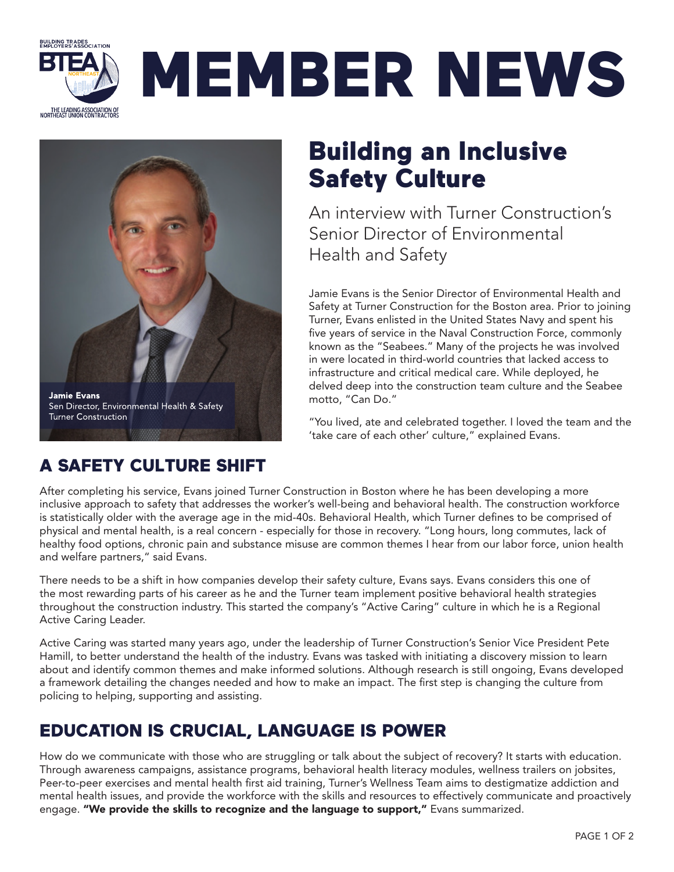

# MEMBER NEWS



### A SAFETY CULTURE SHIFT

## Building an Inclusive Safety Culture

An interview with Turner Construction's Senior Director of Environmental Health and Safety

Jamie Evans is the Senior Director of Environmental Health and Safety at Turner Construction for the Boston area. Prior to joining Turner, Evans enlisted in the United States Navy and spent his five years of service in the Naval Construction Force, commonly known as the "Seabees." Many of the projects he was involved in were located in third-world countries that lacked access to infrastructure and critical medical care. While deployed, he delved deep into the construction team culture and the Seabee motto, "Can Do."

"You lived, ate and celebrated together. I loved the team and the 'take care of each other' culture," explained Evans.

After completing his service, Evans joined Turner Construction in Boston where he has been developing a more inclusive approach to safety that addresses the worker's well-being and behavioral health. The construction workforce is statistically older with the average age in the mid-40s. Behavioral Health, which Turner defines to be comprised of physical and mental health, is a real concern - especially for those in recovery. "Long hours, long commutes, lack of healthy food options, chronic pain and substance misuse are common themes I hear from our labor force, union health and welfare partners," said Evans.

There needs to be a shift in how companies develop their safety culture, Evans says. Evans considers this one of the most rewarding parts of his career as he and the Turner team implement positive behavioral health strategies throughout the construction industry. This started the company's "Active Caring" culture in which he is a Regional Active Caring Leader.

Active Caring was started many years ago, under the leadership of Turner Construction's Senior Vice President Pete Hamill, to better understand the health of the industry. Evans was tasked with initiating a discovery mission to learn about and identify common themes and make informed solutions. Although research is still ongoing, Evans developed a framework detailing the changes needed and how to make an impact. The first step is changing the culture from policing to helping, supporting and assisting.

## EDUCATION IS CRUCIAL, LANGUAGE IS POWER

How do we communicate with those who are struggling or talk about the subject of recovery? It starts with education. Through awareness campaigns, assistance programs, behavioral health literacy modules, wellness trailers on jobsites, Peer-to-peer exercises and mental health first aid training, Turner's Wellness Team aims to destigmatize addiction and mental health issues, and provide the workforce with the skills and resources to effectively communicate and proactively engage. "We provide the skills to recognize and the language to support," Evans summarized.